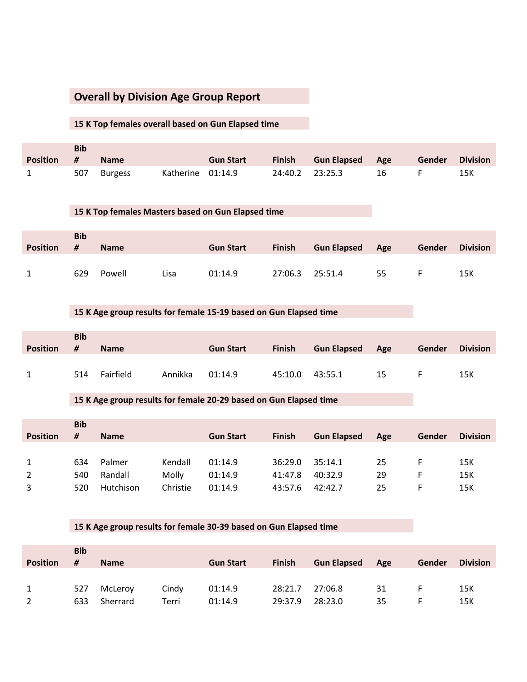# **Overall by Division Age Group Report**

#### **15 K Top females overall based on Gun Elapsed time**

|            | <b>Bib</b> |                |                   |                  |                 |                        |    |        |                 |
|------------|------------|----------------|-------------------|------------------|-----------------|------------------------|----|--------|-----------------|
| Position # |            | <b>Name</b>    |                   | <b>Gun Start</b> | <b>Finish</b>   | <b>Gun Elapsed</b> Age |    | Gender | <b>Division</b> |
|            | 507        | <b>Burgess</b> | Katherine 01:14.9 |                  | 24:40.2 23:25.3 |                        | 16 |        | 15K             |

#### **15 K Top females Masters based on Gun Elapsed time**

|                 | <b>Bib</b> |             |      |                  |               |                    |     |        |                 |
|-----------------|------------|-------------|------|------------------|---------------|--------------------|-----|--------|-----------------|
| <b>Position</b> | #          | <b>Name</b> |      | <b>Gun Start</b> | <b>Finish</b> | <b>Gun Elapsed</b> | Age | Gender | <b>Division</b> |
|                 |            |             |      |                  |               |                    |     |        |                 |
|                 | 629        | Powell      | Lisa | 01:14.9          | 27:06.3       | 25:51.4            | 55  |        | 15K             |

### **15 K Age group results for female 15-19 based on Gun Elapsed time**

| <b>Position</b> | <b>Bib</b><br># | <b>Name</b> |         | <b>Gun Start</b> | <b>Finish</b> | <b>Gun Elapsed</b> | Age | Gender | <b>Division</b> |
|-----------------|-----------------|-------------|---------|------------------|---------------|--------------------|-----|--------|-----------------|
| $\mathbf{1}$    | 514             | Fairfield   | Annikka | 01:14.9          | 45:10.0       | 43:55.1            | 15  |        | 15K             |

### **15 K Age group results for female 20-29 based on Gun Elapsed time**

|                 | <b>Bib</b> |             |          |                  |               |                    |     |        |                 |
|-----------------|------------|-------------|----------|------------------|---------------|--------------------|-----|--------|-----------------|
| <b>Position</b> | #          | <b>Name</b> |          | <b>Gun Start</b> | <b>Finish</b> | <b>Gun Elapsed</b> | Age | Gender | <b>Division</b> |
|                 |            |             |          |                  |               |                    |     |        |                 |
| $\mathbf{1}$    | 634        | Palmer      | Kendall  | 01:14.9          | 36:29.0       | 35:14.1            | 25  |        | 15K             |
| $2^{\circ}$     | 540        | Randall     | Molly    | 01:14.9          | 41:47.8       | 40:32.9            | 29  |        | 15K             |
| 3               | 520        | Hutchison   | Christie | 01:14.9          | 43:57.6       | 42:42.7            | 25  |        | 15K             |

#### **15 K Age group results for female 30-39 based on Gun Elapsed time**

| <b>Position</b> | <b>Bib</b><br># | <b>Name</b> |       | <b>Gun Start</b> | <b>Finish</b> | <b>Gun Elapsed</b> | Age | Gender | <b>Division</b> |
|-----------------|-----------------|-------------|-------|------------------|---------------|--------------------|-----|--------|-----------------|
|                 |                 |             |       |                  |               |                    |     |        |                 |
|                 | 527             | McLeroy     | Cindy | 01:14.9          | 28:21.7       | 27:06.8            | 31  |        | 15K             |
| 2               | 633             | Sherrard    | Terri | 01:14.9          | 29:37.9       | 28:23.0            | 35  |        | 15K             |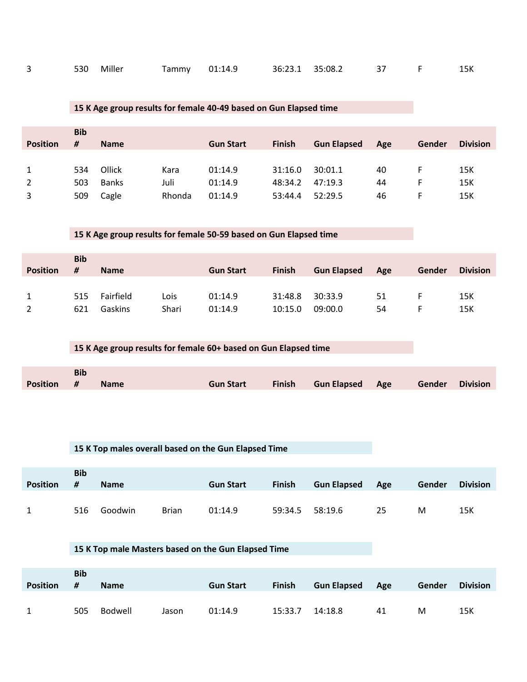| 530 Miller | Tammy 01:14.9   36:23.1   35:08.2   37   F   15K |
|------------|--------------------------------------------------|
|------------|--------------------------------------------------|

# **15 K Age group results for female 40-49 based on Gun Elapsed time**

|                 | <b>Bib</b> |              |        |                  |               |                    |     |        |                 |
|-----------------|------------|--------------|--------|------------------|---------------|--------------------|-----|--------|-----------------|
| <b>Position</b> | #          | <b>Name</b>  |        | <b>Gun Start</b> | <b>Finish</b> | <b>Gun Elapsed</b> | Age | Gender | <b>Division</b> |
|                 |            |              |        |                  |               |                    |     |        |                 |
| $\mathbf{1}$    | 534        | Ollick       | Kara   | 01:14.9          | 31:16.0       | 30:01.1            | 40  |        | 15K             |
| $2^{\circ}$     | 503        | <b>Banks</b> | Juli   | 01:14.9          | 48:34.2       | 47:19.3            | 44  |        | 15K             |
| 3               | 509        | Cagle        | Rhonda | 01:14.9          | 53:44.4       | 52:29.5            | 46  |        | 15K             |

# **15 K Age group results for female 50-59 based on Gun Elapsed time**

| <b>Position</b> | <b>Bib</b><br># | <b>Name</b> |       | <b>Gun Start</b> | <b>Finish</b> | <b>Gun Elapsed</b> | Age | Gender | <b>Division</b> |
|-----------------|-----------------|-------------|-------|------------------|---------------|--------------------|-----|--------|-----------------|
|                 | 515             | Fairfield   | Lois  | 01:14.9          | 31:48.8       | 30:33.9            | 51  |        | 15K             |
|                 | 621             | Gaskins     | Shari | 01:14.9          | 10:15.0       | 09:00.0            | 54  |        | 15K             |

# **15 K Age group results for female 60+ based on Gun Elapsed time**

|                 | <b>Bib</b> |  |                                                  |  |  |
|-----------------|------------|--|--------------------------------------------------|--|--|
| Position # Name |            |  | Gun Start Finish Gun Elapsed Age Gender Division |  |  |

|                 |                 | 15 K Top males overall based on the Gun Elapsed Time |  |                  |               |                    |     |               |                 |  |  |  |
|-----------------|-----------------|------------------------------------------------------|--|------------------|---------------|--------------------|-----|---------------|-----------------|--|--|--|
|                 |                 |                                                      |  |                  |               |                    |     |               |                 |  |  |  |
| <b>Position</b> | <b>Bib</b><br># |                                                      |  |                  |               |                    |     |               |                 |  |  |  |
|                 |                 |                                                      |  |                  |               |                    |     |               |                 |  |  |  |
|                 |                 | <b>Name</b>                                          |  | <b>Gun Start</b> | <b>Finish</b> | <b>Gun Elapsed</b> | Age | <b>Gender</b> | <b>Division</b> |  |  |  |

# **15 K Top male Masters based on the Gun Elapsed Time**

|                 | <b>Bib</b> |             |       |                  |               |                    |     |        |                 |
|-----------------|------------|-------------|-------|------------------|---------------|--------------------|-----|--------|-----------------|
| <b>Position</b> | - #        | <b>Name</b> |       | <b>Gun Start</b> | <b>Finish</b> | <b>Gun Elapsed</b> | Age | Gender | <b>Division</b> |
|                 |            |             |       |                  |               |                    |     |        |                 |
| $\mathbf{1}$    | 505        | Bodwell     | Jason | 01:14.9          | 15:33.7       | 14:18.8            | 41  | м      | 15K             |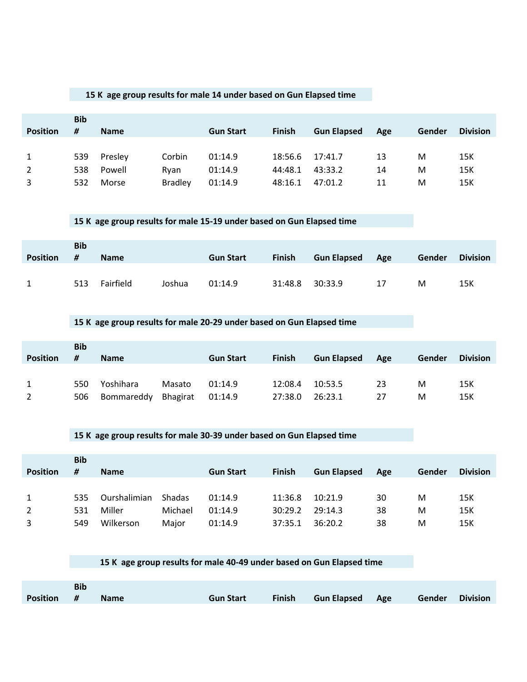### **15 K age group results for male 14 under based on Gun Elapsed time**

|                 | <b>Bib</b> |             |                |                  |               |                    |     |        |                 |
|-----------------|------------|-------------|----------------|------------------|---------------|--------------------|-----|--------|-----------------|
| <b>Position</b> | #          | <b>Name</b> |                | <b>Gun Start</b> | <b>Finish</b> | <b>Gun Elapsed</b> | Age | Gender | <b>Division</b> |
|                 |            |             |                |                  |               |                    |     |        |                 |
| $\mathbf{1}$    | 539        | Presley     | Corbin         | 01:14.9          | 18:56.6       | 17:41.7            | 13  | м      | 15K             |
| $\overline{2}$  | 538        | Powell      | Rvan           | 01:14.9          | 44:48.1       | 43:33.2            | 14  | М      | 15K             |
| 3               | 532        | Morse       | <b>Bradley</b> | 01:14.9          | 48:16.1       | 47:01.2            | 11  | М      | 15K             |

#### **15 K age group results for male 15-19 under based on Gun Elapsed time**

|                 | <b>Bib</b> |             |        |                  |               |                    |     |        |                 |
|-----------------|------------|-------------|--------|------------------|---------------|--------------------|-----|--------|-----------------|
| <b>Position</b> | #          | <b>Name</b> |        | <b>Gun Start</b> | <b>Finish</b> | <b>Gun Elapsed</b> | Age | Gender | <b>Division</b> |
|                 |            |             |        |                  |               |                    |     |        |                 |
|                 | 513        | Fairfield   | Joshua | 01:14.9          | 31:48.8       | 30:33.9            | 17  | м      | 15K             |

### **15 K age group results for male 20-29 under based on Gun Elapsed time**

|                 | <b>Bib</b> |             |          |                  |               |                    |     |        |                 |
|-----------------|------------|-------------|----------|------------------|---------------|--------------------|-----|--------|-----------------|
| <b>Position</b> | #          | <b>Name</b> |          | <b>Gun Start</b> | <b>Finish</b> | <b>Gun Elapsed</b> | Age | Gender | <b>Division</b> |
|                 |            |             |          |                  |               |                    |     |        |                 |
|                 | 550        | Yoshihara   | Masato   | 01:14.9          | 12:08.4       | 10:53.5            | 23  | м      | 15K             |
| 2               | 506        | Bommareddy  | Bhagirat | 01:14.9          | 27:38.0       | 26:23.1            |     | м      | 15K             |

#### **15 K age group results for male 30-39 under based on Gun Elapsed time**

|                 | <b>Bib</b> |              |         |                  |               |                    |     |        |                 |
|-----------------|------------|--------------|---------|------------------|---------------|--------------------|-----|--------|-----------------|
| <b>Position</b> | #          | <b>Name</b>  |         | <b>Gun Start</b> | <b>Finish</b> | <b>Gun Elapsed</b> | Age | Gender | <b>Division</b> |
|                 |            |              |         |                  |               |                    |     |        |                 |
| $\mathbf{1}$    | 535        | Ourshalimian | Shadas  | 01:14.9          | 11:36.8       | 10:21.9            | 30  | M      | 15K             |
| $\overline{2}$  | 531        | Miller       | Michael | 01:14.9          | 30:29.2       | 29:14.3            | 38  | M      | 15K             |
| 3               | 549        | Wilkerson    | Major   | 01:14.9          | 37:35.1       | 36:20.2            | 38  | M      | 15K             |

#### **15 K age group results for male 40-49 under based on Gun Elapsed time**

|            | <b>Bib</b> |             |                  |                        |                        |  |
|------------|------------|-------------|------------------|------------------------|------------------------|--|
| Position # |            | <b>Name</b> | <b>Gun Start</b> | Finish Gun Elapsed Age | <b>Gender Division</b> |  |